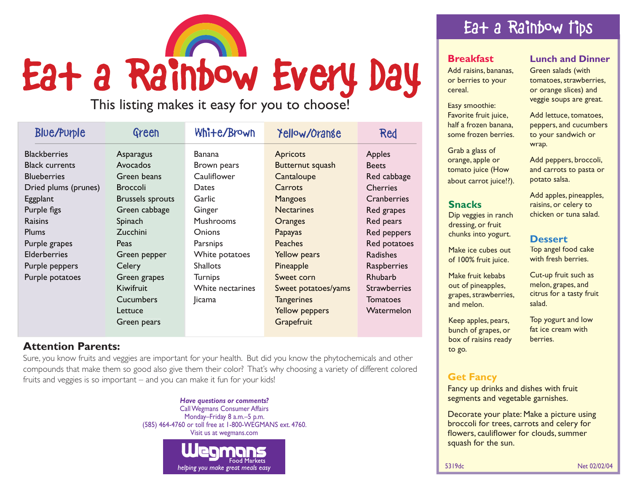

This listing makes it easy for you to choose!

| <b>Blue/Purple</b>    | Green                   | White/Brown      | Yellow/Orange       | Red                 |
|-----------------------|-------------------------|------------------|---------------------|---------------------|
| <b>Blackberries</b>   | Asparagus               | <b>Banana</b>    | <b>Apricots</b>     | Apples              |
| <b>Black currents</b> | Avocados                | Brown pears      | Butternut squash    | <b>Beets</b>        |
| <b>Blueberries</b>    | Green beans             | Cauliflower      | Cantaloupe          | Red cabbage         |
| Dried plums (prunes)  | <b>Broccoli</b>         | Dates            | Carrots             | <b>Cherries</b>     |
| Eggplant              | <b>Brussels sprouts</b> | Garlic           | <b>Mangoes</b>      | Cranberries         |
| Purple figs           | Green cabbage           | Ginger           | <b>Nectarines</b>   | Red grapes          |
| <b>Raisins</b>        | Spinach                 | <b>Mushrooms</b> | Oranges             | Red pears           |
| <b>Plums</b>          | <b>Zucchini</b>         | <b>Onions</b>    | Papayas             | Red peppers         |
| Purple grapes         | Peas                    | Parsnips         | <b>Peaches</b>      | Red potatoes        |
| <b>Elderberries</b>   | Green pepper            | White potatoes   | <b>Yellow pears</b> | <b>Radishes</b>     |
| Purple peppers        | Celery                  | <b>Shallots</b>  | Pineapple           | Raspberries         |
| Purple potatoes       | Green grapes            | <b>Turnips</b>   | Sweet corn          | Rhubarb             |
|                       | Kiwifruit               | White nectarines | Sweet potatoes/yams | <b>Strawberries</b> |
|                       | Cucumbers               | <b>Jicama</b>    | <b>Tangerines</b>   | Tomatoes            |
|                       | Lettuce                 |                  | Yellow peppers      | Watermelon          |
|                       | Green pears             |                  | Grapefruit          |                     |

## **Attention Parents:**

Sure, you know fruits and veggies are important for your health. But did you know the phytochemicals and other compounds that make them so good also give them their color? That's why choosing a variety of different colored fruits and veggies is so important – and you can make it fun for your kids!

> *Have questions or comments?* Call Wegmans Consumer Affairs Monday–Friday 8 a.m.–5 p.m. (585) 464-4760 or toll free at 1-800-WEGMANS ext. 4760. Visit us at wegmans.com



# Eat a Rainbow Tips

#### **Breakfast**

Add raisins, bananas, or berries to your cereal.

Easy smoothie: Favorite fruit juice, half a frozen banana, some frozen berries.

Grab a glass of orange, apple or tomato juice (How about carrot juice!?).

#### **Snacks**

Dip veggies in ranch dressing, or fruit chunks into yogurt.

Make ice cubes out of 100% fruit juice.

Make fruit kebabs out of pineapples, grapes, strawberries, and melon.

Keep apples, pears, bunch of grapes, or box of raisins ready to go.

#### **Lunch and Dinner**

Green salads (with tomatoes, strawberries, or orange slices) and veggie soups are great.

Add lettuce, tomatoes, peppers, and cucumbers to your sandwich or wrap.

Add peppers, broccoli, and carrots to pasta or potato salsa.

Add apples, pineapples, raisins, or celery to chicken or tuna salad.

#### **Dessert**

Top angel food cake with fresh berries.

Cut-up fruit such as melon, grapes, and citrus for a tasty fruit salad.

Top yogurt and low fat ice cream with berries.

### **Get Fancy**

Fancy up drinks and dishes with fruit segments and vegetable garnishes.

Decorate your plate: Make a picture using broccoli for trees, carrots and celery for flowers, cauliflower for clouds, summer squash for the sun.